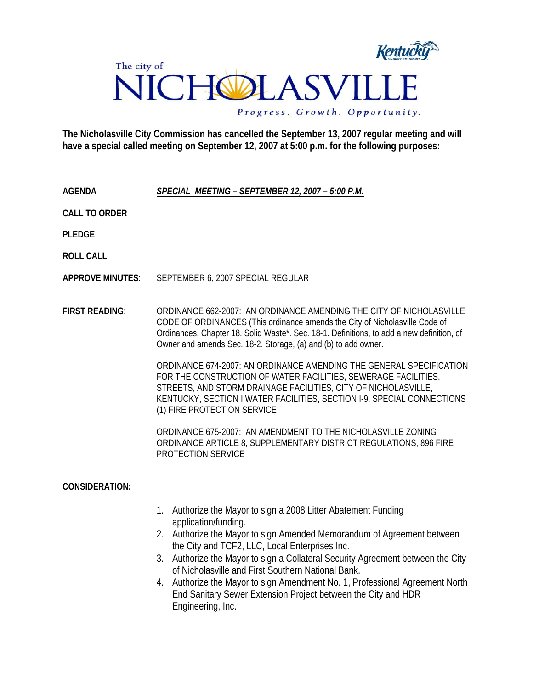

**The Nicholasville City Commission has cancelled the September 13, 2007 regular meeting and will have a special called meeting on September 12, 2007 at 5:00 p.m. for the following purposes:** 

**AGENDA** *SPECIAL MEETING – SEPTEMBER 12, 2007 – 5:00 P.M.*

**CALL TO ORDER** 

**PLEDGE** 

**ROLL CALL** 

**APPROVE MINUTES**: SEPTEMBER 6, 2007 SPECIAL REGULAR

**FIRST READING**: ORDINANCE 662-2007: AN ORDINANCE AMENDING THE CITY OF NICHOLASVILLE CODE OF ORDINANCES (This ordinance amends the City of Nicholasville Code of Ordinances, Chapter 18. Solid Waste\*. Sec. 18-1. Definitions, to add a new definition, of Owner and amends Sec. 18-2. Storage, (a) and (b) to add owner.

> ORDINANCE 674-2007: AN ORDINANCE AMENDING THE GENERAL SPECIFICATION FOR THE CONSTRUCTION OF WATER FACILITIES, SEWERAGE FACILITIES, STREETS, AND STORM DRAINAGE FACILITIES, CITY OF NICHOLASVILLE, KENTUCKY, SECTION I WATER FACILITIES, SECTION I-9. SPECIAL CONNECTIONS (1) FIRE PROTECTION SERVICE

ORDINANCE 675-2007: AN AMENDMENT TO THE NICHOLASVILLE ZONING ORDINANCE ARTICLE 8, SUPPLEMENTARY DISTRICT REGULATIONS, 896 FIRE PROTECTION SERVICE

## **CONSIDERATION:**

- 1. Authorize the Mayor to sign a 2008 Litter Abatement Funding application/funding.
- 2. Authorize the Mayor to sign Amended Memorandum of Agreement between the City and TCF2, LLC, Local Enterprises Inc.
- 3. Authorize the Mayor to sign a Collateral Security Agreement between the City of Nicholasville and First Southern National Bank.
- 4. Authorize the Mayor to sign Amendment No. 1, Professional Agreement North End Sanitary Sewer Extension Project between the City and HDR Engineering, Inc.